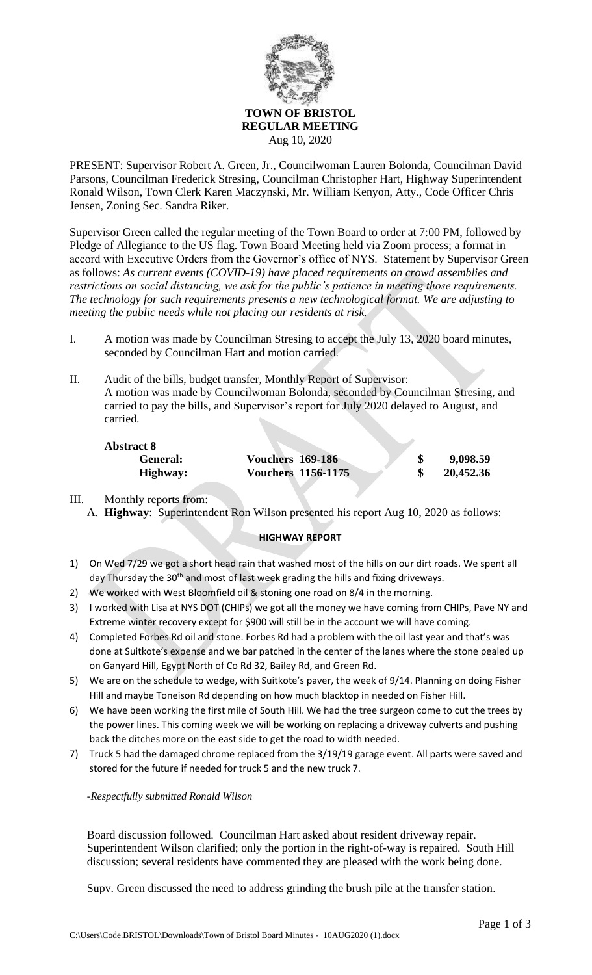

Aug 10, 2020

PRESENT: Supervisor Robert A. Green, Jr., Councilwoman Lauren Bolonda, Councilman David Parsons, Councilman Frederick Stresing, Councilman Christopher Hart, Highway Superintendent Ronald Wilson, Town Clerk Karen Maczynski, Mr. William Kenyon, Atty., Code Officer Chris Jensen, Zoning Sec. Sandra Riker.

Supervisor Green called the regular meeting of the Town Board to order at 7:00 PM, followed by Pledge of Allegiance to the US flag. Town Board Meeting held via Zoom process; a format in accord with Executive Orders from the Governor's office of NYS. Statement by Supervisor Green as follows: *As current events (COVID-19) have placed requirements on crowd assemblies and restrictions on social distancing, we ask for the public's patience in meeting those requirements. The technology for such requirements presents a new technological format. We are adjusting to meeting the public needs while not placing our residents at risk.*

- I. A motion was made by Councilman Stresing to accept the July 13, 2020 board minutes, seconded by Councilman Hart and motion carried.
- II. Audit of the bills, budget transfer, Monthly Report of Supervisor: A motion was made by Councilwoman Bolonda, seconded by Councilman Stresing, and carried to pay the bills, and Supervisor's report for July 2020 delayed to August, and carried.

| <b>Abstract 8</b> |                           |           |
|-------------------|---------------------------|-----------|
| General:          | <b>Vouchers 169-186</b>   | 9,098.59  |
| Highway:          | <b>Vouchers 1156-1175</b> | 20,452.36 |

III. Monthly reports from: A. **Highway**: Superintendent Ron Wilson presented his report Aug 10, 2020 as follows:

## **HIGHWAY REPORT**

- 1) On Wed 7/29 we got a short head rain that washed most of the hills on our dirt roads. We spent all day Thursday the 30<sup>th</sup> and most of last week grading the hills and fixing driveways.
- 2) We worked with West Bloomfield oil & stoning one road on 8/4 in the morning.
- 3) I worked with Lisa at NYS DOT (CHIPs) we got all the money we have coming from CHIPs, Pave NY and Extreme winter recovery except for \$900 will still be in the account we will have coming.
- 4) Completed Forbes Rd oil and stone. Forbes Rd had a problem with the oil last year and that's was done at Suitkote's expense and we bar patched in the center of the lanes where the stone pealed up on Ganyard Hill, Egypt North of Co Rd 32, Bailey Rd, and Green Rd.
- 5) We are on the schedule to wedge, with Suitkote's paver, the week of 9/14. Planning on doing Fisher Hill and maybe Toneison Rd depending on how much blacktop in needed on Fisher Hill.
- 6) We have been working the first mile of South Hill. We had the tree surgeon come to cut the trees by the power lines. This coming week we will be working on replacing a driveway culverts and pushing back the ditches more on the east side to get the road to width needed.
- 7) Truck 5 had the damaged chrome replaced from the 3/19/19 garage event. All parts were saved and stored for the future if needed for truck 5 and the new truck 7.

*-Respectfully submitted Ronald Wilson*

Board discussion followed. Councilman Hart asked about resident driveway repair. Superintendent Wilson clarified; only the portion in the right-of-way is repaired. South Hill discussion; several residents have commented they are pleased with the work being done.

Supv. Green discussed the need to address grinding the brush pile at the transfer station.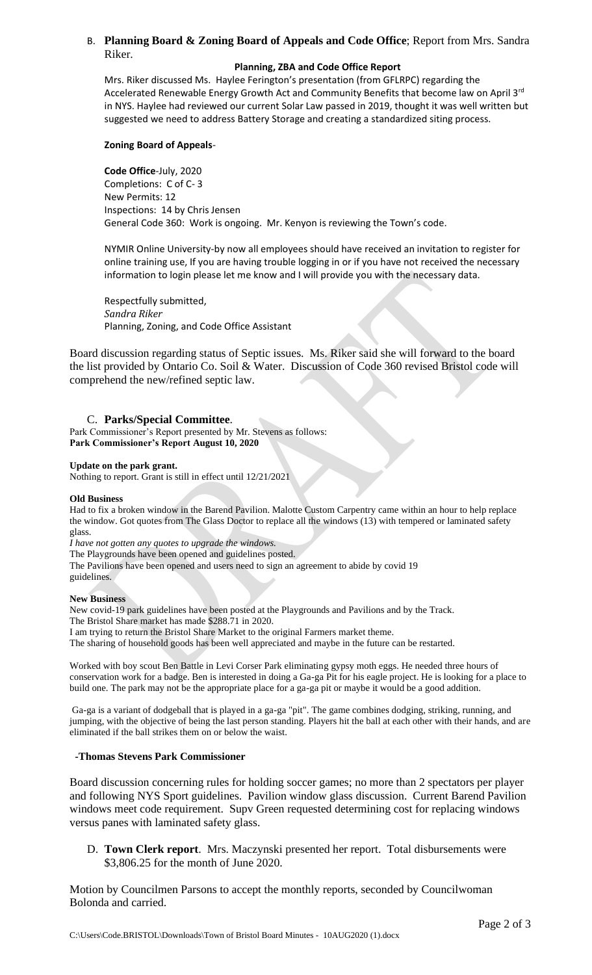## B. **Planning Board & Zoning Board of Appeals and Code Office**; Report from Mrs. Sandra Riker.

#### **Planning, ZBA and Code Office Report**

Mrs. Riker discussed Ms. Haylee Ferington's presentation (from GFLRPC) regarding the Accelerated Renewable Energy Growth Act and Community Benefits that become law on April 3<sup>rd</sup> in NYS. Haylee had reviewed our current Solar Law passed in 2019, thought it was well written but suggested we need to address Battery Storage and creating a standardized siting process.

### **Zoning Board of Appeals**-

**Code Office**-July, 2020 Completions: C of C- 3 New Permits: 12 Inspections: 14 by Chris Jensen General Code 360: Work is ongoing. Mr. Kenyon is reviewing the Town's code.

NYMIR Online University-by now all employees should have received an invitation to register for online training use, If you are having trouble logging in or if you have not received the necessary information to login please let me know and I will provide you with the necessary data.

Respectfully submitted, *Sandra Riker* Planning, Zoning, and Code Office Assistant

Board discussion regarding status of Septic issues. Ms. Riker said she will forward to the board the list provided by Ontario Co. Soil & Water. Discussion of Code 360 revised Bristol code will comprehend the new/refined septic law.

## C. **Parks/Special Committee**.

Park Commissioner's Report presented by Mr. Stevens as follows: **Park Commissioner's Report August 10, 2020**

#### **Update on the park grant.**

Nothing to report. Grant is still in effect until 12/21/2021

#### **Old Business**

Had to fix a broken window in the Barend Pavilion. Malotte Custom Carpentry came within an hour to help replace the window. Got quotes from The Glass Doctor to replace all the windows (13) with tempered or laminated safety glass.

*I have not gotten any quotes to upgrade the windows.*

The Playgrounds have been opened and guidelines posted.

The Pavilions have been opened and users need to sign an agreement to abide by covid 19 guidelines.

## **New Business**

New covid-19 park guidelines have been posted at the Playgrounds and Pavilions and by the Track. The Bristol Share market has made \$288.71 in 2020.

I am trying to return the Bristol Share Market to the original Farmers market theme.

The sharing of household goods has been well appreciated and maybe in the future can be restarted.

Worked with boy scout Ben Battle in Levi Corser Park eliminating gypsy moth eggs. He needed three hours of conservation work for a badge. Ben is interested in doing a Ga-ga Pit for his eagle project. He is looking for a place to build one. The park may not be the appropriate place for a ga-ga pit or maybe it would be a good addition.

Ga-ga is a variant of dodgeball that is played in a ga-ga "pit". The game combines dodging, striking, running, and jumping, with the objective of being the last person standing. Players hit the ball at each other with their hands, and are eliminated if the ball strikes them on or below the waist.

## **-Thomas Stevens Park Commissioner**

Board discussion concerning rules for holding soccer games; no more than 2 spectators per player and following NYS Sport guidelines. Pavilion window glass discussion. Current Barend Pavilion windows meet code requirement. Supv Green requested determining cost for replacing windows versus panes with laminated safety glass.

D. **Town Clerk report**. Mrs. Maczynski presented her report. Total disbursements were \$3,806.25 for the month of June 2020.

Motion by Councilmen Parsons to accept the monthly reports, seconded by Councilwoman Bolonda and carried.